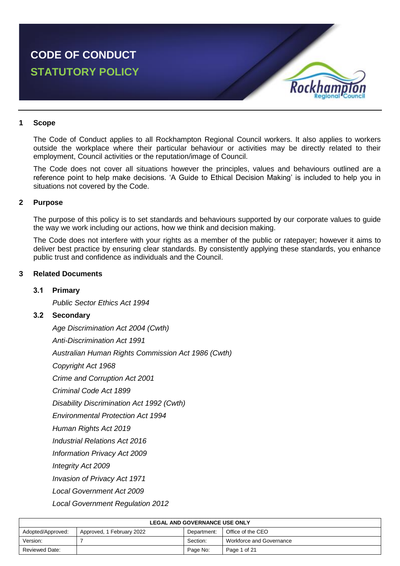

#### **1 Scope**

The Code of Conduct applies to all Rockhampton Regional Council workers. It also applies to workers outside the workplace where their particular behaviour or activities may be directly related to their employment, Council activities or the reputation/image of Council.

The Code does not cover all situations however the principles, values and behaviours outlined are a reference point to help make decisions. 'A Guide to Ethical Decision Making' is included to help you in situations not covered by the Code.

### **2 Purpose**

The purpose of this policy is to set standards and behaviours supported by our corporate values to guide the way we work including our actions, how we think and decision making.

The Code does not interfere with your rights as a member of the public or ratepayer; however it aims to deliver best practice by ensuring clear standards. By consistently applying these standards, you enhance public trust and confidence as individuals and the Council.

### **3 Related Documents**

#### **3.1 Primary**

*Public Sector Ethics Act 1994*

#### **3.2 Secondary**

*Age Discrimination Act 2004 (Cwth) Anti-Discrimination Act 1991 Australian Human Rights Commission Act 1986 (Cwth) Copyright Act 1968 Crime and Corruption Act 2001 Criminal Code Act 1899 Disability Discrimination Act 1992 (Cwth) Environmental Protection Act 1994 Human Rights Act 2019 Industrial Relations Act 2016 Information Privacy Act 2009 Integrity Act 2009 Invasion of Privacy Act 1971 Local Government Act 2009*

*Local Government Regulation 2012*

| <b>LEGAL AND GOVERNANCE USE ONLY</b>                                               |  |          |                          |  |  |
|------------------------------------------------------------------------------------|--|----------|--------------------------|--|--|
| Office of the CEO<br>Adopted/Approved:<br>Approved, 1 February 2022<br>Department: |  |          |                          |  |  |
| Version:                                                                           |  | Section: | Workforce and Governance |  |  |
| Page No:<br><b>Reviewed Date:</b><br>Page 1 of 21                                  |  |          |                          |  |  |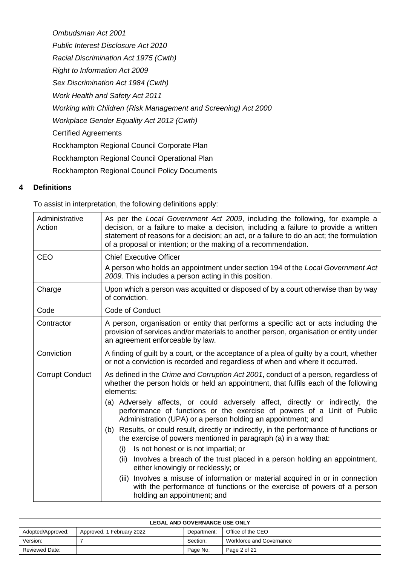*Ombudsman Act 2001 Public Interest Disclosure Act 2010 Racial Discrimination Act 1975 (Cwth) Right to Information Act 2009 Sex Discrimination Act 1984 (Cwth) Work Health and Safety Act 2011 Working with Children (Risk Management and Screening) Act 2000 Workplace Gender Equality Act 2012 (Cwth)* Certified Agreements Rockhampton Regional Council Corporate Plan Rockhampton Regional Council Operational Plan Rockhampton Regional Council Policy Documents

# **4 Definitions**

To assist in interpretation, the following definitions apply:

| Administrative<br>Action | As per the Local Government Act 2009, including the following, for example a<br>decision, or a failure to make a decision, including a failure to provide a written<br>statement of reasons for a decision; an act, or a failure to do an act; the formulation<br>of a proposal or intention; or the making of a recommendation.                                                                                                                                                                                                                                                                                                                                                                                                                                                                                                                                                                                                                                 |  |  |
|--------------------------|------------------------------------------------------------------------------------------------------------------------------------------------------------------------------------------------------------------------------------------------------------------------------------------------------------------------------------------------------------------------------------------------------------------------------------------------------------------------------------------------------------------------------------------------------------------------------------------------------------------------------------------------------------------------------------------------------------------------------------------------------------------------------------------------------------------------------------------------------------------------------------------------------------------------------------------------------------------|--|--|
| <b>CEO</b>               | <b>Chief Executive Officer</b>                                                                                                                                                                                                                                                                                                                                                                                                                                                                                                                                                                                                                                                                                                                                                                                                                                                                                                                                   |  |  |
|                          | A person who holds an appointment under section 194 of the Local Government Act<br>2009. This includes a person acting in this position.                                                                                                                                                                                                                                                                                                                                                                                                                                                                                                                                                                                                                                                                                                                                                                                                                         |  |  |
| Charge                   | Upon which a person was acquitted or disposed of by a court otherwise than by way<br>of conviction.                                                                                                                                                                                                                                                                                                                                                                                                                                                                                                                                                                                                                                                                                                                                                                                                                                                              |  |  |
| Code                     | Code of Conduct                                                                                                                                                                                                                                                                                                                                                                                                                                                                                                                                                                                                                                                                                                                                                                                                                                                                                                                                                  |  |  |
| Contractor               | A person, organisation or entity that performs a specific act or acts including the<br>provision of services and/or materials to another person, organisation or entity under<br>an agreement enforceable by law.                                                                                                                                                                                                                                                                                                                                                                                                                                                                                                                                                                                                                                                                                                                                                |  |  |
| Conviction               | A finding of guilt by a court, or the acceptance of a plea of guilty by a court, whether<br>or not a conviction is recorded and regardless of when and where it occurred.                                                                                                                                                                                                                                                                                                                                                                                                                                                                                                                                                                                                                                                                                                                                                                                        |  |  |
| <b>Corrupt Conduct</b>   | As defined in the Crime and Corruption Act 2001, conduct of a person, regardless of<br>whether the person holds or held an appointment, that fulfils each of the following<br>elements:<br>(a) Adversely affects, or could adversely affect, directly or indirectly, the<br>performance of functions or the exercise of powers of a Unit of Public<br>Administration (UPA) or a person holding an appointment; and<br>Results, or could result, directly or indirectly, in the performance of functions or<br>(b)<br>the exercise of powers mentioned in paragraph (a) in a way that:<br>Is not honest or is not impartial; or<br>(i)<br>Involves a breach of the trust placed in a person holding an appointment,<br>(ii)<br>either knowingly or recklessly; or<br>Involves a misuse of information or material acquired in or in connection<br>(iii)<br>with the performance of functions or the exercise of powers of a person<br>holding an appointment; and |  |  |

| <b>LEGAL AND GOVERNANCE USE ONLY</b> |                           |             |                          |
|--------------------------------------|---------------------------|-------------|--------------------------|
| Adopted/Approved:                    | Approved, 1 February 2022 | Department: | Office of the CEO        |
| Version:                             |                           | Section:    | Workforce and Governance |
| <b>Reviewed Date:</b>                |                           | Page No:    | Page 2 of 21             |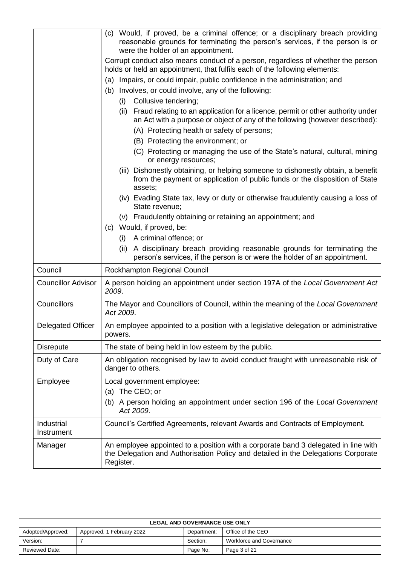|                           | (c) Would, if proved, be a criminal offence; or a disciplinary breach providing<br>reasonable grounds for terminating the person's services, if the person is or<br>were the holder of an appointment. |  |  |
|---------------------------|--------------------------------------------------------------------------------------------------------------------------------------------------------------------------------------------------------|--|--|
|                           | Corrupt conduct also means conduct of a person, regardless of whether the person<br>holds or held an appointment, that fulfils each of the following elements:                                         |  |  |
|                           | (a) Impairs, or could impair, public confidence in the administration; and                                                                                                                             |  |  |
|                           | Involves, or could involve, any of the following:<br>(b)                                                                                                                                               |  |  |
|                           | Collusive tendering;<br>(i)                                                                                                                                                                            |  |  |
|                           | (ii) Fraud relating to an application for a licence, permit or other authority under<br>an Act with a purpose or object of any of the following (however described):                                   |  |  |
|                           | (A) Protecting health or safety of persons;                                                                                                                                                            |  |  |
|                           | (B) Protecting the environment; or                                                                                                                                                                     |  |  |
|                           | (C) Protecting or managing the use of the State's natural, cultural, mining<br>or energy resources;                                                                                                    |  |  |
|                           | Dishonestly obtaining, or helping someone to dishonestly obtain, a benefit<br>(iii)<br>from the payment or application of public funds or the disposition of State<br>assets;                          |  |  |
|                           | (iv) Evading State tax, levy or duty or otherwise fraudulently causing a loss of<br>State revenue;                                                                                                     |  |  |
|                           | (v) Fraudulently obtaining or retaining an appointment; and                                                                                                                                            |  |  |
|                           | Would, if proved, be:<br>(c)                                                                                                                                                                           |  |  |
|                           | (i) A criminal offence; or                                                                                                                                                                             |  |  |
|                           | (ii) A disciplinary breach providing reasonable grounds for terminating the<br>person's services, if the person is or were the holder of an appointment.                                               |  |  |
| Council                   | Rockhampton Regional Council                                                                                                                                                                           |  |  |
| <b>Councillor Advisor</b> | A person holding an appointment under section 197A of the Local Government Act<br>2009.                                                                                                                |  |  |
| Councillors               | The Mayor and Councillors of Council, within the meaning of the Local Government<br>Act 2009.                                                                                                          |  |  |
| <b>Delegated Officer</b>  | An employee appointed to a position with a legislative delegation or administrative<br>powers.                                                                                                         |  |  |
| <b>Disrepute</b>          | The state of being held in low esteem by the public.                                                                                                                                                   |  |  |
| Duty of Care              | An obligation recognised by law to avoid conduct fraught with unreasonable risk of<br>danger to others.                                                                                                |  |  |
| Employee                  | Local government employee:<br>(a) The CEO; or                                                                                                                                                          |  |  |
|                           | (b) A person holding an appointment under section 196 of the Local Government<br>Act 2009.                                                                                                             |  |  |
| Industrial<br>Instrument  | Council's Certified Agreements, relevant Awards and Contracts of Employment.                                                                                                                           |  |  |
| Manager                   | An employee appointed to a position with a corporate band 3 delegated in line with<br>the Delegation and Authorisation Policy and detailed in the Delegations Corporate<br>Register.                   |  |  |

| <b>LEGAL AND GOVERNANCE USE ONLY</b> |                           |             |                          |
|--------------------------------------|---------------------------|-------------|--------------------------|
| Adopted/Approved:                    | Approved, 1 February 2022 | Department: | Office of the CEO        |
| Version:                             |                           | Section:    | Workforce and Governance |
| <b>Reviewed Date:</b>                |                           | Page No:    | Page 3 of 21             |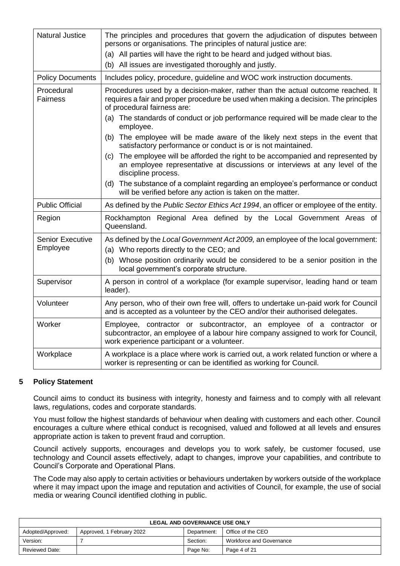| <b>Natural Justice</b>              | The principles and procedures that govern the adjudication of disputes between<br>persons or organisations. The principles of natural justice are:<br>(a) All parties will have the right to be heard and judged without bias.<br>(b) All issues are investigated thoroughly and justly. |  |  |  |  |
|-------------------------------------|------------------------------------------------------------------------------------------------------------------------------------------------------------------------------------------------------------------------------------------------------------------------------------------|--|--|--|--|
| <b>Policy Documents</b>             | Includes policy, procedure, guideline and WOC work instruction documents.                                                                                                                                                                                                                |  |  |  |  |
| Procedural<br><b>Fairness</b>       | Procedures used by a decision-maker, rather than the actual outcome reached. It<br>requires a fair and proper procedure be used when making a decision. The principles<br>of procedural fairness are:                                                                                    |  |  |  |  |
|                                     | (a) The standards of conduct or job performance required will be made clear to the<br>employee.                                                                                                                                                                                          |  |  |  |  |
|                                     | (b) The employee will be made aware of the likely next steps in the event that<br>satisfactory performance or conduct is or is not maintained.                                                                                                                                           |  |  |  |  |
|                                     | The employee will be afforded the right to be accompanied and represented by<br>(c)<br>an employee representative at discussions or interviews at any level of the<br>discipline process.                                                                                                |  |  |  |  |
|                                     | (d) The substance of a complaint regarding an employee's performance or conduct<br>will be verified before any action is taken on the matter.                                                                                                                                            |  |  |  |  |
| <b>Public Official</b>              | As defined by the Public Sector Ethics Act 1994, an officer or employee of the entity.                                                                                                                                                                                                   |  |  |  |  |
| Region                              | Rockhampton Regional Area defined by the Local Government Areas of<br>Queensland.                                                                                                                                                                                                        |  |  |  |  |
| <b>Senior Executive</b><br>Employee | As defined by the Local Government Act 2009, an employee of the local government:<br>(a) Who reports directly to the CEO; and                                                                                                                                                            |  |  |  |  |
|                                     | (b) Whose position ordinarily would be considered to be a senior position in the<br>local government's corporate structure.                                                                                                                                                              |  |  |  |  |
| Supervisor                          | A person in control of a workplace (for example supervisor, leading hand or team<br>leader).                                                                                                                                                                                             |  |  |  |  |
| Volunteer                           | Any person, who of their own free will, offers to undertake un-paid work for Council<br>and is accepted as a volunteer by the CEO and/or their authorised delegates.                                                                                                                     |  |  |  |  |
| Worker                              | Employee, contractor or subcontractor, an employee of a contractor or<br>subcontractor, an employee of a labour hire company assigned to work for Council,<br>work experience participant or a volunteer.                                                                                |  |  |  |  |
| Workplace                           | A workplace is a place where work is carried out, a work related function or where a<br>worker is representing or can be identified as working for Council.                                                                                                                              |  |  |  |  |

### **5 Policy Statement**

Council aims to conduct its business with integrity, honesty and fairness and to comply with all relevant laws, regulations, codes and corporate standards.

You must follow the highest standards of behaviour when dealing with customers and each other. Council encourages a culture where ethical conduct is recognised, valued and followed at all levels and ensures appropriate action is taken to prevent fraud and corruption.

Council actively supports, encourages and develops you to work safely, be customer focused, use technology and Council assets effectively, adapt to changes, improve your capabilities, and contribute to Council's Corporate and Operational Plans.

The Code may also apply to certain activities or behaviours undertaken by workers outside of the workplace where it may impact upon the image and reputation and activities of Council, for example, the use of social media or wearing Council identified clothing in public.

| <b>LEGAL AND GOVERNANCE USE ONLY</b> |                           |             |                          |
|--------------------------------------|---------------------------|-------------|--------------------------|
| Adopted/Approved:                    | Approved, 1 February 2022 | Department: | Office of the CEO        |
| Version:                             |                           | Section:    | Workforce and Governance |
| <b>Reviewed Date:</b>                |                           | Page No:    | Page 4 of 21             |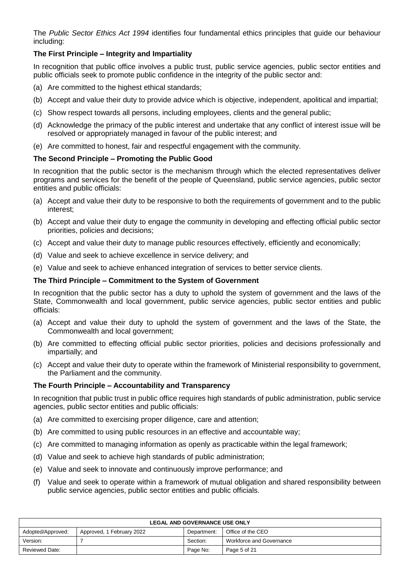The *Public Sector Ethics Act 1994* identifies four fundamental ethics principles that guide our behaviour including:

# **The First Principle – Integrity and Impartiality**

In recognition that public office involves a public trust, public service agencies, public sector entities and public officials seek to promote public confidence in the integrity of the public sector and:

- (a) Are committed to the highest ethical standards;
- (b) Accept and value their duty to provide advice which is objective, independent, apolitical and impartial;
- (c) Show respect towards all persons, including employees, clients and the general public;
- (d) Acknowledge the primacy of the public interest and undertake that any conflict of interest issue will be resolved or appropriately managed in favour of the public interest; and
- (e) Are committed to honest, fair and respectful engagement with the community.

### **The Second Principle – Promoting the Public Good**

In recognition that the public sector is the mechanism through which the elected representatives deliver programs and services for the benefit of the people of Queensland, public service agencies, public sector entities and public officials:

- (a) Accept and value their duty to be responsive to both the requirements of government and to the public interest;
- (b) Accept and value their duty to engage the community in developing and effecting official public sector priorities, policies and decisions;
- (c) Accept and value their duty to manage public resources effectively, efficiently and economically;
- (d) Value and seek to achieve excellence in service delivery; and
- (e) Value and seek to achieve enhanced integration of services to better service clients.

### **The Third Principle – Commitment to the System of Government**

In recognition that the public sector has a duty to uphold the system of government and the laws of the State, Commonwealth and local government, public service agencies, public sector entities and public officials:

- (a) Accept and value their duty to uphold the system of government and the laws of the State, the Commonwealth and local government;
- (b) Are committed to effecting official public sector priorities, policies and decisions professionally and impartially; and
- (c) Accept and value their duty to operate within the framework of Ministerial responsibility to government, the Parliament and the community.

### **The Fourth Principle – Accountability and Transparency**

In recognition that public trust in public office requires high standards of public administration, public service agencies, public sector entities and public officials:

- (a) Are committed to exercising proper diligence, care and attention;
- (b) Are committed to using public resources in an effective and accountable way;
- (c) Are committed to managing information as openly as practicable within the legal framework;
- (d) Value and seek to achieve high standards of public administration;
- (e) Value and seek to innovate and continuously improve performance; and
- (f) Value and seek to operate within a framework of mutual obligation and shared responsibility between public service agencies, public sector entities and public officials.

| <b>LEGAL AND GOVERNANCE USE ONLY</b> |                           |             |                          |
|--------------------------------------|---------------------------|-------------|--------------------------|
| Adopted/Approved:                    | Approved, 1 February 2022 | Department: | Office of the CEO        |
| Version:                             |                           | Section:    | Workforce and Governance |
| <b>Reviewed Date:</b>                |                           | Page No:    | Page 5 of 21             |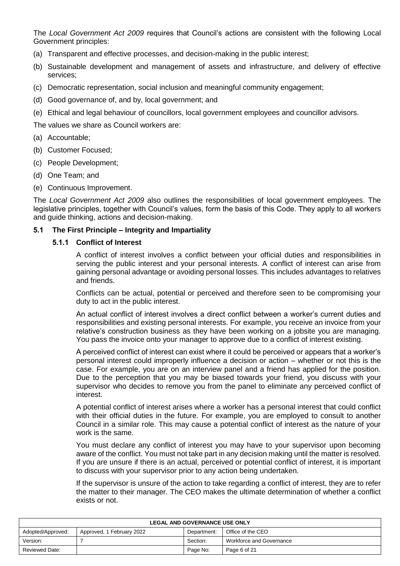The *Local Government Act 2009* requires that Council's actions are consistent with the following Local Government principles:

- (a) Transparent and effective processes, and decision-making in the public interest;
- (b) Sustainable development and management of assets and infrastructure, and delivery of effective services;
- (c) Democratic representation, social inclusion and meaningful community engagement;
- (d) Good governance of, and by, local government; and
- (e) Ethical and legal behaviour of councillors, local government employees and councillor advisors.

The values we share as Council workers are:

- (a) Accountable;
- (b) Customer Focused;
- (c) People Development;
- (d) One Team; and
- (e) Continuous Improvement.

The *Local Government Act 2009* also outlines the responsibilities of local government employees. The legislative principles, together with Council's values, form the basis of this Code. They apply to all workers and guide thinking, actions and decision-making.

### **5.1 The First Principle – Integrity and Impartiality**

### **5.1.1 Conflict of Interest**

A conflict of interest involves a conflict between your official duties and responsibilities in serving the public interest and your personal interests. A conflict of interest can arise from gaining personal advantage or avoiding personal losses. This includes advantages to relatives and friends.

Conflicts can be actual, potential or perceived and therefore seen to be compromising your duty to act in the public interest.

An actual conflict of interest involves a direct conflict between a worker's current duties and responsibilities and existing personal interests. For example, you receive an invoice from your relative's construction business as they have been working on a jobsite you are managing. You pass the invoice onto your manager to approve due to a conflict of interest existing.

A perceived conflict of interest can exist where it could be perceived or appears that a worker's personal interest could improperly influence a decision or action – whether or not this is the case. For example, you are on an interview panel and a friend has applied for the position. Due to the perception that you may be biased towards your friend, you discuss with your supervisor who decides to remove you from the panel to eliminate any perceived conflict of interest.

A potential conflict of interest arises where a worker has a personal interest that could conflict with their official duties in the future. For example, you are employed to consult to another Council in a similar role. This may cause a potential conflict of interest as the nature of your work is the same.

You must declare any conflict of interest you may have to your supervisor upon becoming aware of the conflict. You must not take part in any decision making until the matter is resolved. If you are unsure if there is an actual, perceived or potential conflict of interest, it is important to discuss with your supervisor prior to any action being undertaken.

If the supervisor is unsure of the action to take regarding a conflict of interest, they are to refer the matter to their manager. The CEO makes the ultimate determination of whether a conflict exists or not.

| <b>LEGAL AND GOVERNANCE USE ONLY</b> |                           |             |                          |
|--------------------------------------|---------------------------|-------------|--------------------------|
| Adopted/Approved:                    | Approved, 1 February 2022 | Department: | Office of the CEO        |
| Version:                             |                           | Section:    | Workforce and Governance |
| Reviewed Date:                       |                           | Page No:    | Page 6 of 21             |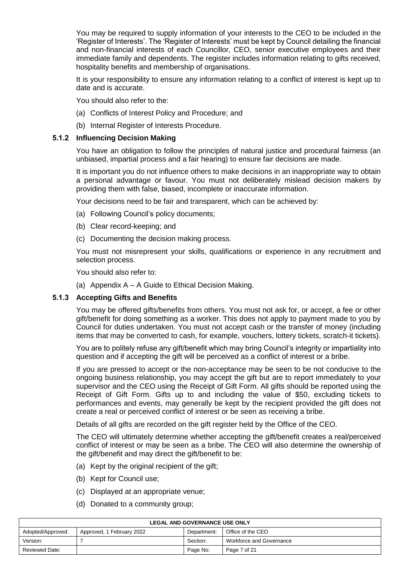You may be required to supply information of your interests to the CEO to be included in the 'Register of Interests'. The 'Register of Interests' must be kept by Council detailing the financial and non-financial interests of each Councillor, CEO, senior executive employees and their immediate family and dependents. The register includes information relating to gifts received, hospitality benefits and membership of organisations.

It is your responsibility to ensure any information relating to a conflict of interest is kept up to date and is accurate.

You should also refer to the:

- (a) Conflicts of Interest Policy and Procedure; and
- (b) Internal Register of Interests Procedure.

### **5.1.2 Influencing Decision Making**

You have an obligation to follow the principles of natural justice and procedural fairness (an unbiased, impartial process and a fair hearing) to ensure fair decisions are made.

It is important you do not influence others to make decisions in an inappropriate way to obtain a personal advantage or favour. You must not deliberately mislead decision makers by providing them with false, biased, incomplete or inaccurate information.

Your decisions need to be fair and transparent, which can be achieved by:

- (a) Following Council's policy documents;
- (b) Clear record-keeping; and
- (c) Documenting the decision making process.

You must not misrepresent your skills, qualifications or experience in any recruitment and selection process.

You should also refer to:

(a) Appendix A – A Guide to Ethical Decision Making.

### **5.1.3 Accepting Gifts and Benefits**

You may be offered gifts/benefits from others. You must not ask for, or accept, a fee or other gift/benefit for doing something as a worker. This does not apply to payment made to you by Council for duties undertaken. You must not accept cash or the transfer of money (including items that may be converted to cash, for example, vouchers, lottery tickets, scratch-it tickets).

You are to politely refuse any gift/benefit which may bring Council's integrity or impartiality into question and if accepting the gift will be perceived as a conflict of interest or a bribe.

If you are pressed to accept or the non-acceptance may be seen to be not conducive to the ongoing business relationship, you may accept the gift but are to report immediately to your supervisor and the CEO using the Receipt of Gift Form. All gifts should be reported using the Receipt of Gift Form. Gifts up to and including the value of \$50, excluding tickets to performances and events, may generally be kept by the recipient provided the gift does not create a real or perceived conflict of interest or be seen as receiving a bribe.

Details of all gifts are recorded on the gift register held by the Office of the CEO.

The CEO will ultimately determine whether accepting the gift/benefit creates a real/perceived conflict of interest or may be seen as a bribe. The CEO will also determine the ownership of the gift/benefit and may direct the gift/benefit to be:

- (a) Kept by the original recipient of the gift;
- (b) Kept for Council use;
- (c) Displayed at an appropriate venue;
- (d) Donated to a community group;

| <b>LEGAL AND GOVERNANCE USE ONLY</b> |                           |             |                          |
|--------------------------------------|---------------------------|-------------|--------------------------|
| Adopted/Approved:                    | Approved, 1 February 2022 | Department: | Office of the CEO        |
| Version:                             |                           | Section:    | Workforce and Governance |
| Reviewed Date:                       |                           | Page No:    | Page 7 of 21             |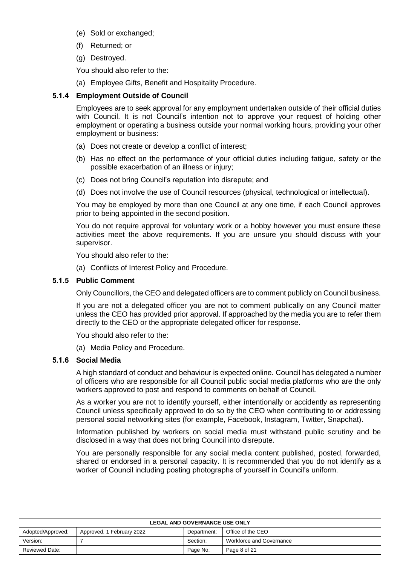- (e) Sold or exchanged;
- (f) Returned; or
- (g) Destroyed.

You should also refer to the:

(a) Employee Gifts, Benefit and Hospitality Procedure.

### **5.1.4 Employment Outside of Council**

Employees are to seek approval for any employment undertaken outside of their official duties with Council. It is not Council's intention not to approve your request of holding other employment or operating a business outside your normal working hours, providing your other employment or business:

- (a) Does not create or develop a conflict of interest;
- (b) Has no effect on the performance of your official duties including fatigue, safety or the possible exacerbation of an illness or injury;
- (c) Does not bring Council's reputation into disrepute; and
- (d) Does not involve the use of Council resources (physical, technological or intellectual).

You may be employed by more than one Council at any one time, if each Council approves prior to being appointed in the second position.

You do not require approval for voluntary work or a hobby however you must ensure these activities meet the above requirements. If you are unsure you should discuss with your supervisor.

You should also refer to the:

(a) Conflicts of Interest Policy and Procedure.

### **5.1.5 Public Comment**

Only Councillors, the CEO and delegated officers are to comment publicly on Council business.

If you are not a delegated officer you are not to comment publically on any Council matter unless the CEO has provided prior approval. If approached by the media you are to refer them directly to the CEO or the appropriate delegated officer for response.

You should also refer to the:

(a) Media Policy and Procedure.

### **5.1.6 Social Media**

A high standard of conduct and behaviour is expected online. Council has delegated a number of officers who are responsible for all Council public social media platforms who are the only workers approved to post and respond to comments on behalf of Council.

As a worker you are not to identify yourself, either intentionally or accidently as representing Council unless specifically approved to do so by the CEO when contributing to or addressing personal social networking sites (for example, Facebook, Instagram, Twitter, Snapchat).

Information published by workers on social media must withstand public scrutiny and be disclosed in a way that does not bring Council into disrepute.

You are personally responsible for any social media content published, posted, forwarded, shared or endorsed in a personal capacity. It is recommended that you do not identify as a worker of Council including posting photographs of yourself in Council's uniform.

| <b>LEGAL AND GOVERNANCE USE ONLY</b> |                           |             |                          |
|--------------------------------------|---------------------------|-------------|--------------------------|
| Adopted/Approved:                    | Approved, 1 February 2022 | Department: | Office of the CEO        |
| Version:                             |                           | Section:    | Workforce and Governance |
| <b>Reviewed Date:</b>                |                           | Page No:    | Page 8 of 21             |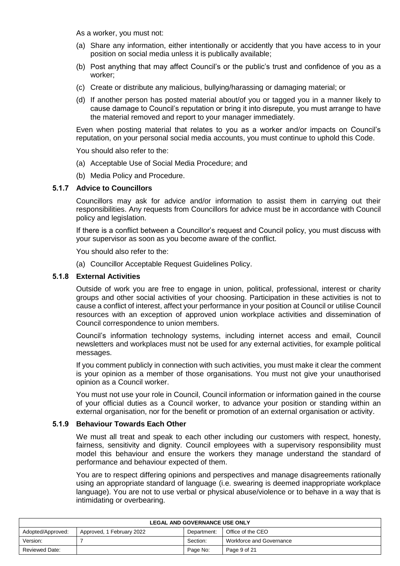As a worker, you must not:

- (a) Share any information, either intentionally or accidently that you have access to in your position on social media unless it is publically available;
- (b) Post anything that may affect Council's or the public's trust and confidence of you as a worker;
- (c) Create or distribute any malicious, bullying/harassing or damaging material; or
- (d) If another person has posted material about/of you or tagged you in a manner likely to cause damage to Council's reputation or bring it into disrepute, you must arrange to have the material removed and report to your manager immediately.

Even when posting material that relates to you as a worker and/or impacts on Council's reputation, on your personal social media accounts, you must continue to uphold this Code.

You should also refer to the:

- (a) Acceptable Use of Social Media Procedure; and
- (b) Media Policy and Procedure.

### **5.1.7 Advice to Councillors**

Councillors may ask for advice and/or information to assist them in carrying out their responsibilities. Any requests from Councillors for advice must be in accordance with Council policy and legislation.

If there is a conflict between a Councillor's request and Council policy, you must discuss with your supervisor as soon as you become aware of the conflict.

You should also refer to the:

(a) Councillor Acceptable Request Guidelines Policy.

#### **5.1.8 External Activities**

Outside of work you are free to engage in union, political, professional, interest or charity groups and other social activities of your choosing. Participation in these activities is not to cause a conflict of interest, affect your performance in your position at Council or utilise Council resources with an exception of approved union workplace activities and dissemination of Council correspondence to union members.

Council's information technology systems, including internet access and email, Council newsletters and workplaces must not be used for any external activities, for example political messages.

If you comment publicly in connection with such activities, you must make it clear the comment is your opinion as a member of those organisations. You must not give your unauthorised opinion as a Council worker.

You must not use your role in Council, Council information or information gained in the course of your official duties as a Council worker, to advance your position or standing within an external organisation, nor for the benefit or promotion of an external organisation or activity.

#### **5.1.9 Behaviour Towards Each Other**

We must all treat and speak to each other including our customers with respect, honesty, fairness, sensitivity and dignity. Council employees with a supervisory responsibility must model this behaviour and ensure the workers they manage understand the standard of performance and behaviour expected of them.

You are to respect differing opinions and perspectives and manage disagreements rationally using an appropriate standard of language (i.e. swearing is deemed inappropriate workplace language). You are not to use verbal or physical abuse/violence or to behave in a way that is intimidating or overbearing.

| <b>LEGAL AND GOVERNANCE USE ONLY</b> |                           |             |                          |
|--------------------------------------|---------------------------|-------------|--------------------------|
| Adopted/Approved:                    | Approved, 1 February 2022 | Department: | Office of the CEO        |
| Version:                             |                           | Section:    | Workforce and Governance |
| <b>Reviewed Date:</b>                |                           | Page No:    | Page 9 of 21             |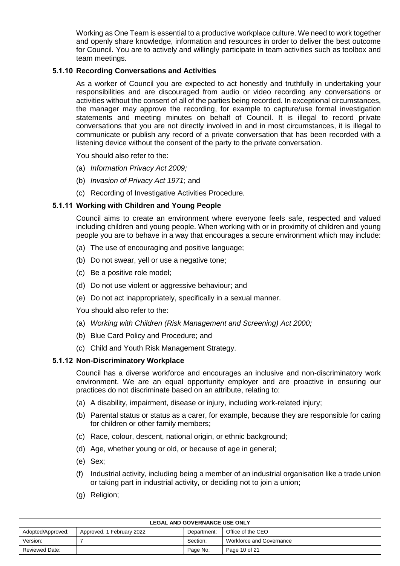Working as One Team is essential to a productive workplace culture. We need to work together and openly share knowledge, information and resources in order to deliver the best outcome for Council. You are to actively and willingly participate in team activities such as toolbox and team meetings.

### **5.1.10 Recording Conversations and Activities**

As a worker of Council you are expected to act honestly and truthfully in undertaking your responsibilities and are discouraged from audio or video recording any conversations or activities without the consent of all of the parties being recorded. In exceptional circumstances, the manager may approve the recording, for example to capture/use formal investigation statements and meeting minutes on behalf of Council. It is illegal to record private conversations that you are not directly involved in and in most circumstances, it is illegal to communicate or publish any record of a private conversation that has been recorded with a listening device without the consent of the party to the private conversation.

You should also refer to the:

- (a) *Information Privacy Act 2009;*
- (b) *Invasion of Privacy Act 1971*; and
- (c) Recording of Investigative Activities Procedure*.*

### **5.1.11 Working with Children and Young People**

Council aims to create an environment where everyone feels safe, respected and valued including children and young people. When working with or in proximity of children and young people you are to behave in a way that encourages a secure environment which may include:

- (a) The use of encouraging and positive language;
- (b) Do not swear, yell or use a negative tone;
- (c) Be a positive role model;
- (d) Do not use violent or aggressive behaviour; and
- (e) Do not act inappropriately, specifically in a sexual manner.

You should also refer to the:

- (a) *Working with Children (Risk Management and Screening) Act 2000;*
- (b) Blue Card Policy and Procedure; and
- (c) Child and Youth Risk Management Strategy.

### **5.1.12 Non-Discriminatory Workplace**

Council has a diverse workforce and encourages an inclusive and non-discriminatory work environment. We are an equal opportunity employer and are proactive in ensuring our practices do not discriminate based on an attribute, relating to:

- (a) A disability, impairment, disease or injury, including work-related injury;
- (b) Parental status or status as a carer, for example, because they are responsible for caring for children or other family members;
- (c) Race, colour, descent, national origin, or ethnic background;
- (d) Age, whether young or old, or because of age in general;
- (e) Sex;
- (f) Industrial activity, including being a member of an industrial organisation like a trade union or taking part in industrial activity, or deciding not to join a union;
- (g) Religion;

| <b>LEGAL AND GOVERNANCE USE ONLY</b> |                           |             |                          |
|--------------------------------------|---------------------------|-------------|--------------------------|
| Adopted/Approved:                    | Approved, 1 February 2022 | Department: | Office of the CEO        |
| Version:                             |                           | Section:    | Workforce and Governance |
| Reviewed Date:                       |                           | Page No:    | Page 10 of 21            |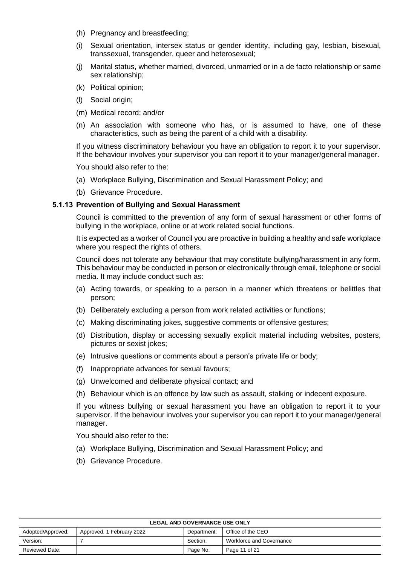- (h) Pregnancy and breastfeeding;
- (i) Sexual orientation, intersex status or gender identity, including gay, lesbian, bisexual, transsexual, transgender, queer and heterosexual;
- (j) Marital status, whether married, divorced, unmarried or in a de facto relationship or same sex relationship;
- (k) Political opinion;
- (l) Social origin;
- (m) Medical record; and/or
- (n) An association with someone who has, or is assumed to have, one of these characteristics, such as being the parent of a child with a disability.

If you witness discriminatory behaviour you have an obligation to report it to your supervisor. If the behaviour involves your supervisor you can report it to your manager/general manager.

You should also refer to the:

- (a) Workplace Bullying, Discrimination and Sexual Harassment Policy; and
- (b) Grievance Procedure.

### **5.1.13 Prevention of Bullying and Sexual Harassment**

Council is committed to the prevention of any form of sexual harassment or other forms of bullying in the workplace, online or at work related social functions.

It is expected as a worker of Council you are proactive in building a healthy and safe workplace where you respect the rights of others.

Council does not tolerate any behaviour that may constitute bullying/harassment in any form. This behaviour may be conducted in person or electronically through email, telephone or social media. It may include conduct such as:

- (a) Acting towards, or speaking to a person in a manner which threatens or belittles that person;
- (b) Deliberately excluding a person from work related activities or functions;
- (c) Making discriminating jokes, suggestive comments or offensive gestures;
- (d) Distribution, display or accessing sexually explicit material including websites, posters, pictures or sexist jokes;
- (e) Intrusive questions or comments about a person's private life or body;
- (f) Inappropriate advances for sexual favours;
- (g) Unwelcomed and deliberate physical contact; and
- (h) Behaviour which is an offence by law such as assault, stalking or indecent exposure.

If you witness bullying or sexual harassment you have an obligation to report it to your supervisor. If the behaviour involves your supervisor you can report it to your manager/general manager.

- (a) Workplace Bullying, Discrimination and Sexual Harassment Policy; and
- (b) Grievance Procedure.

| <b>LEGAL AND GOVERNANCE USE ONLY</b> |                           |             |                          |
|--------------------------------------|---------------------------|-------------|--------------------------|
| Adopted/Approved:                    | Approved, 1 February 2022 | Department: | Office of the CEO        |
| Version:                             |                           | Section:    | Workforce and Governance |
| <b>Reviewed Date:</b>                |                           | Page No:    | Page 11 of 21            |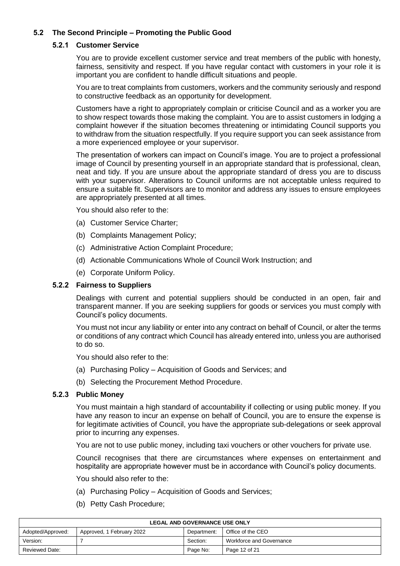# **5.2 The Second Principle – Promoting the Public Good**

### **5.2.1 Customer Service**

You are to provide excellent customer service and treat members of the public with honesty, fairness, sensitivity and respect. If you have regular contact with customers in your role it is important you are confident to handle difficult situations and people.

You are to treat complaints from customers, workers and the community seriously and respond to constructive feedback as an opportunity for development.

Customers have a right to appropriately complain or criticise Council and as a worker you are to show respect towards those making the complaint. You are to assist customers in lodging a complaint however if the situation becomes threatening or intimidating Council supports you to withdraw from the situation respectfully. If you require support you can seek assistance from a more experienced employee or your supervisor.

The presentation of workers can impact on Council's image. You are to project a professional image of Council by presenting yourself in an appropriate standard that is professional, clean, neat and tidy. If you are unsure about the appropriate standard of dress you are to discuss with your supervisor. Alterations to Council uniforms are not acceptable unless required to ensure a suitable fit. Supervisors are to monitor and address any issues to ensure employees are appropriately presented at all times.

You should also refer to the:

- (a) Customer Service Charter;
- (b) Complaints Management Policy;
- (c) Administrative Action Complaint Procedure;
- (d) Actionable Communications Whole of Council Work Instruction; and
- (e) Corporate Uniform Policy.

### **5.2.2 Fairness to Suppliers**

Dealings with current and potential suppliers should be conducted in an open, fair and transparent manner. If you are seeking suppliers for goods or services you must comply with Council's policy documents.

You must not incur any liability or enter into any contract on behalf of Council, or alter the terms or conditions of any contract which Council has already entered into, unless you are authorised to do so.

You should also refer to the:

- (a) Purchasing Policy Acquisition of Goods and Services; and
- (b) Selecting the Procurement Method Procedure.

### **5.2.3 Public Money**

You must maintain a high standard of accountability if collecting or using public money. If you have any reason to incur an expense on behalf of Council, you are to ensure the expense is for legitimate activities of Council, you have the appropriate sub-delegations or seek approval prior to incurring any expenses.

You are not to use public money, including taxi vouchers or other vouchers for private use.

Council recognises that there are circumstances where expenses on entertainment and hospitality are appropriate however must be in accordance with Council's policy documents.

- (a) Purchasing Policy Acquisition of Goods and Services;
- (b) Petty Cash Procedure;

| <b>LEGAL AND GOVERNANCE USE ONLY</b> |                           |             |                          |
|--------------------------------------|---------------------------|-------------|--------------------------|
| Adopted/Approved:                    | Approved, 1 February 2022 | Department: | Office of the CEO        |
| Version:                             |                           | Section:    | Workforce and Governance |
| Reviewed Date:                       |                           | Page No:    | Page 12 of 21            |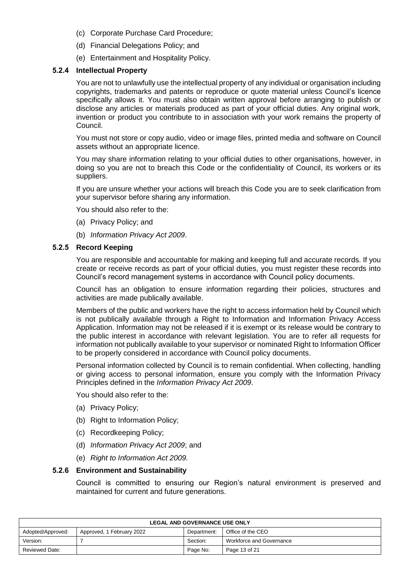- (c) Corporate Purchase Card Procedure;
- (d) Financial Delegations Policy; and
- (e) Entertainment and Hospitality Policy.

#### **5.2.4 Intellectual Property**

You are not to unlawfully use the intellectual property of any individual or organisation including copyrights, trademarks and patents or reproduce or quote material unless Council's licence specifically allows it. You must also obtain written approval before arranging to publish or disclose any articles or materials produced as part of your official duties. Any original work, invention or product you contribute to in association with your work remains the property of Council.

You must not store or copy audio, video or image files, printed media and software on Council assets without an appropriate licence.

You may share information relating to your official duties to other organisations, however, in doing so you are not to breach this Code or the confidentiality of Council, its workers or its suppliers.

If you are unsure whether your actions will breach this Code you are to seek clarification from your supervisor before sharing any information.

You should also refer to the:

- (a) Privacy Policy; and
- (b) *Information Privacy Act 2009*.

#### **5.2.5 Record Keeping**

You are responsible and accountable for making and keeping full and accurate records. If you create or receive records as part of your official duties, you must register these records into Council's record management systems in accordance with Council policy documents.

Council has an obligation to ensure information regarding their policies, structures and activities are made publically available.

Members of the public and workers have the right to access information held by Council which is not publically available through a Right to Information and Information Privacy Access Application. Information may not be released if it is exempt or its release would be contrary to the public interest in accordance with relevant legislation. You are to refer all requests for information not publically available to your supervisor or nominated Right to Information Officer to be properly considered in accordance with Council policy documents.

Personal information collected by Council is to remain confidential. When collecting, handling or giving access to personal information, ensure you comply with the Information Privacy Principles defined in the *Information Privacy Act 2009*.

You should also refer to the:

- (a) Privacy Policy;
- (b) Right to Information Policy;
- (c) Recordkeeping Policy;
- (d) *Information Privacy Act 2009*; and
- (e) *Right to Information Act 2009.*

### **5.2.6 Environment and Sustainability**

Council is committed to ensuring our Region's natural environment is preserved and maintained for current and future generations.

| <b>LEGAL AND GOVERNANCE USE ONLY</b> |                           |             |                          |
|--------------------------------------|---------------------------|-------------|--------------------------|
| Adopted/Approved:                    | Approved, 1 February 2022 | Department: | Office of the CEO        |
| Version:                             |                           | Section:    | Workforce and Governance |
| <b>Reviewed Date:</b>                |                           | Page No:    | Page 13 of 21            |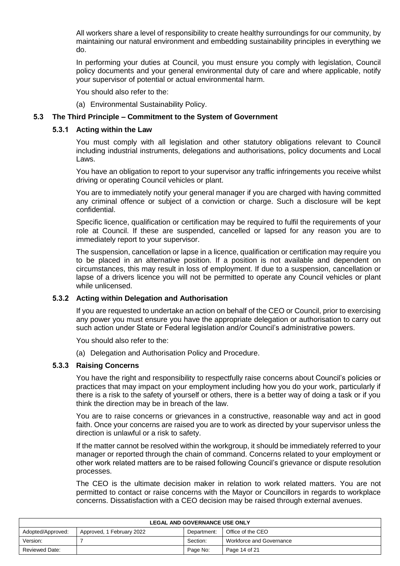All workers share a level of responsibility to create healthy surroundings for our community, by maintaining our natural environment and embedding sustainability principles in everything we do.

In performing your duties at Council, you must ensure you comply with legislation, Council policy documents and your general environmental duty of care and where applicable, notify your supervisor of potential or actual environmental harm.

You should also refer to the:

(a) Environmental Sustainability Policy.

#### **5.3 The Third Principle – Commitment to the System of Government**

#### **5.3.1 Acting within the Law**

You must comply with all legislation and other statutory obligations relevant to Council including industrial instruments, delegations and authorisations, policy documents and Local Laws.

You have an obligation to report to your supervisor any traffic infringements you receive whilst driving or operating Council vehicles or plant.

You are to immediately notify your general manager if you are charged with having committed any criminal offence or subject of a conviction or charge. Such a disclosure will be kept confidential.

Specific licence, qualification or certification may be required to fulfil the requirements of your role at Council. If these are suspended, cancelled or lapsed for any reason you are to immediately report to your supervisor.

The suspension, cancellation or lapse in a licence, qualification or certification may require you to be placed in an alternative position. If a position is not available and dependent on circumstances, this may result in loss of employment. If due to a suspension, cancellation or lapse of a drivers licence you will not be permitted to operate any Council vehicles or plant while unlicensed.

#### **5.3.2 Acting within Delegation and Authorisation**

If you are requested to undertake an action on behalf of the CEO or Council, prior to exercising any power you must ensure you have the appropriate delegation or authorisation to carry out such action under State or Federal legislation and/or Council's administrative powers.

You should also refer to the:

(a) Delegation and Authorisation Policy and Procedure.

#### **5.3.3 Raising Concerns**

You have the right and responsibility to respectfully raise concerns about Council's policies or practices that may impact on your employment including how you do your work, particularly if there is a risk to the safety of yourself or others, there is a better way of doing a task or if you think the direction may be in breach of the law.

You are to raise concerns or grievances in a constructive, reasonable way and act in good faith. Once your concerns are raised you are to work as directed by your supervisor unless the direction is unlawful or a risk to safety.

If the matter cannot be resolved within the workgroup, it should be immediately referred to your manager or reported through the chain of command. Concerns related to your employment or other work related matters are to be raised following Council's grievance or dispute resolution processes.

The CEO is the ultimate decision maker in relation to work related matters. You are not permitted to contact or raise concerns with the Mayor or Councillors in regards to workplace concerns. Dissatisfaction with a CEO decision may be raised through external avenues.

| <b>LEGAL AND GOVERNANCE USE ONLY</b> |                           |             |                          |
|--------------------------------------|---------------------------|-------------|--------------------------|
| Adopted/Approved:                    | Approved, 1 February 2022 | Department: | Office of the CEO        |
| Version:                             |                           | Section:    | Workforce and Governance |
| <b>Reviewed Date:</b>                |                           | Page No:    | Page 14 of 21            |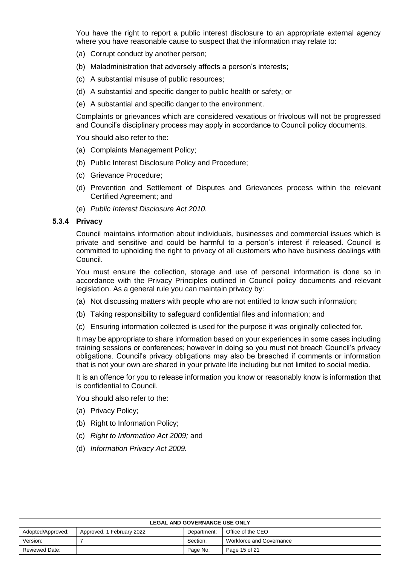You have the right to report a public interest disclosure to an appropriate external agency where you have reasonable cause to suspect that the information may relate to:

- (a) Corrupt conduct by another person;
- (b) Maladministration that adversely affects a person's interests;
- (c) A substantial misuse of public resources;
- (d) A substantial and specific danger to public health or safety; or
- (e) A substantial and specific danger to the environment.

Complaints or grievances which are considered vexatious or frivolous will not be progressed and Council's disciplinary process may apply in accordance to Council policy documents.

You should also refer to the:

- (a) Complaints Management Policy;
- (b) Public Interest Disclosure Policy and Procedure;
- (c) Grievance Procedure;
- (d) Prevention and Settlement of Disputes and Grievances process within the relevant Certified Agreement; and
- (e) *Public Interest Disclosure Act 2010.*

#### **5.3.4 Privacy**

Council maintains information about individuals, businesses and commercial issues which is private and sensitive and could be harmful to a person's interest if released. Council is committed to upholding the right to privacy of all customers who have business dealings with Council.

You must ensure the collection, storage and use of personal information is done so in accordance with the Privacy Principles outlined in Council policy documents and relevant legislation. As a general rule you can maintain privacy by:

- (a) Not discussing matters with people who are not entitled to know such information;
- (b) Taking responsibility to safeguard confidential files and information; and
- (c) Ensuring information collected is used for the purpose it was originally collected for.

It may be appropriate to share information based on your experiences in some cases including training sessions or conferences; however in doing so you must not breach Council's privacy obligations. Council's privacy obligations may also be breached if comments or information that is not your own are shared in your private life including but not limited to social media.

It is an offence for you to release information you know or reasonably know is information that is confidential to Council.

- (a) Privacy Policy;
- (b) Right to Information Policy;
- (c) *Right to Information Act 2009;* and
- (d) *Information Privacy Act 2009.*

| <b>LEGAL AND GOVERNANCE USE ONLY</b> |                           |             |                          |
|--------------------------------------|---------------------------|-------------|--------------------------|
| Adopted/Approved:                    | Approved, 1 February 2022 | Department: | Office of the CEO        |
| Version:                             |                           | Section:    | Workforce and Governance |
| <b>Reviewed Date:</b>                |                           | Page No:    | Page 15 of 21            |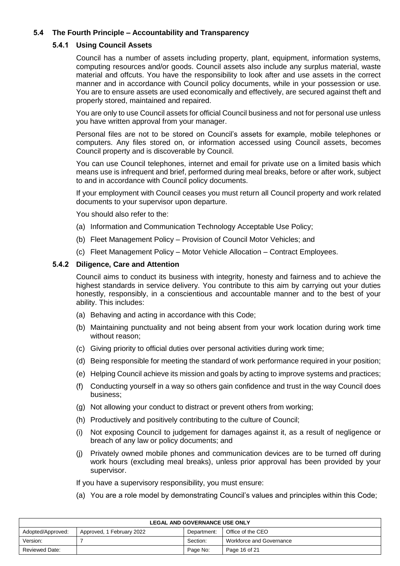# **5.4 The Fourth Principle – Accountability and Transparency**

### **5.4.1 Using Council Assets**

Council has a number of assets including property, plant, equipment, information systems, computing resources and/or goods. Council assets also include any surplus material, waste material and offcuts. You have the responsibility to look after and use assets in the correct manner and in accordance with Council policy documents, while in your possession or use. You are to ensure assets are used economically and effectively, are secured against theft and properly stored, maintained and repaired.

You are only to use Council assets for official Council business and not for personal use unless you have written approval from your manager.

Personal files are not to be stored on Council's assets for example, mobile telephones or computers. Any files stored on, or information accessed using Council assets, becomes Council property and is discoverable by Council.

You can use Council telephones, internet and email for private use on a limited basis which means use is infrequent and brief, performed during meal breaks, before or after work, subject to and in accordance with Council policy documents.

If your employment with Council ceases you must return all Council property and work related documents to your supervisor upon departure.

You should also refer to the:

- (a) Information and Communication Technology Acceptable Use Policy;
- (b) Fleet Management Policy Provision of Council Motor Vehicles; and
- (c) Fleet Management Policy Motor Vehicle Allocation Contract Employees.

### **5.4.2 Diligence, Care and Attention**

Council aims to conduct its business with integrity, honesty and fairness and to achieve the highest standards in service delivery. You contribute to this aim by carrying out your duties honestly, responsibly, in a conscientious and accountable manner and to the best of your ability. This includes:

- (a) Behaving and acting in accordance with this Code;
- (b) Maintaining punctuality and not being absent from your work location during work time without reason;
- (c) Giving priority to official duties over personal activities during work time;
- (d) Being responsible for meeting the standard of work performance required in your position;
- (e) Helping Council achieve its mission and goals by acting to improve systems and practices;
- (f) Conducting yourself in a way so others gain confidence and trust in the way Council does business;
- (g) Not allowing your conduct to distract or prevent others from working;
- (h) Productively and positively contributing to the culture of Council;
- (i) Not exposing Council to judgement for damages against it, as a result of negligence or breach of any law or policy documents; and
- (j) Privately owned mobile phones and communication devices are to be turned off during work hours (excluding meal breaks), unless prior approval has been provided by your supervisor.

If you have a supervisory responsibility, you must ensure:

(a) You are a role model by demonstrating Council's values and principles within this Code;

| <b>LEGAL AND GOVERNANCE USE ONLY</b> |                           |             |                          |
|--------------------------------------|---------------------------|-------------|--------------------------|
| Adopted/Approved:                    | Approved, 1 February 2022 | Department: | Office of the CEO        |
| Version:                             |                           | Section:    | Workforce and Governance |
| <b>Reviewed Date:</b>                |                           | Page No:    | Page 16 of 21            |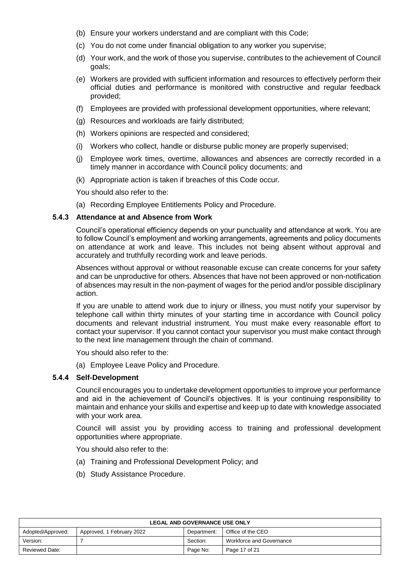- (b) Ensure your workers understand and are compliant with this Code;
- (c) You do not come under financial obligation to any worker you supervise;
- (d) Your work, and the work of those you supervise, contributes to the achievement of Council goals;
- (e) Workers are provided with sufficient information and resources to effectively perform their official duties and performance is monitored with constructive and regular feedback provided;
- (f) Employees are provided with professional development opportunities, where relevant;
- (g) Resources and workloads are fairly distributed;
- (h) Workers opinions are respected and considered;
- (i) Workers who collect, handle or disburse public money are properly supervised;
- (j) Employee work times, overtime, allowances and absences are correctly recorded in a timely manner in accordance with Council policy documents; and
- (k) Appropriate action is taken if breaches of this Code occur.

You should also refer to the:

(a) Recording Employee Entitlements Policy and Procedure.

#### **5.4.3 Attendance at and Absence from Work**

Council's operational efficiency depends on your punctuality and attendance at work. You are to follow Council's employment and working arrangements, agreements and policy documents on attendance at work and leave. This includes not being absent without approval and accurately and truthfully recording work and leave periods.

Absences without approval or without reasonable excuse can create concerns for your safety and can be unproductive for others. Absences that have not been approved or non-notification of absences may result in the non-payment of wages for the period and/or possible disciplinary action.

If you are unable to attend work due to injury or illness, you must notify your supervisor by telephone call within thirty minutes of your starting time in accordance with Council policy documents and relevant industrial instrument. You must make every reasonable effort to contact your supervisor. If you cannot contact your supervisor you must make contact through to the next line management through the chain of command.

You should also refer to the:

(a) Employee Leave Policy and Procedure.

#### **5.4.4 Self-Development**

Council encourages you to undertake development opportunities to improve your performance and aid in the achievement of Council's objectives. It is your continuing responsibility to maintain and enhance your skills and expertise and keep up to date with knowledge associated with your work area.

Council will assist you by providing access to training and professional development opportunities where appropriate.

- (a) Training and Professional Development Policy; and
- (b) Study Assistance Procedure.

| <b>LEGAL AND GOVERNANCE USE ONLY</b> |                           |             |                          |
|--------------------------------------|---------------------------|-------------|--------------------------|
| Adopted/Approved:                    | Approved, 1 February 2022 | Department: | Office of the CEO        |
| Version:                             |                           | Section:    | Workforce and Governance |
| <b>Reviewed Date:</b>                |                           | Page No:    | Page 17 of 21            |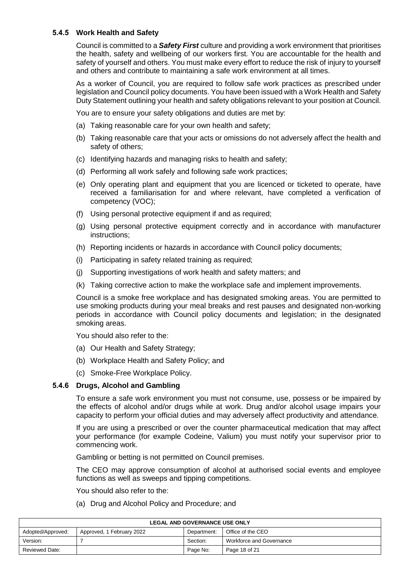### **5.4.5 Work Health and Safety**

Council is committed to a *Safety First* culture and providing a work environment that prioritises the health, safety and wellbeing of our workers first. You are accountable for the health and safety of yourself and others. You must make every effort to reduce the risk of injury to yourself and others and contribute to maintaining a safe work environment at all times.

As a worker of Council, you are required to follow safe work practices as prescribed under legislation and Council policy documents. You have been issued with a Work Health and Safety Duty Statement outlining your health and safety obligations relevant to your position at Council.

You are to ensure your safety obligations and duties are met by:

- (a) Taking reasonable care for your own health and safety;
- (b) Taking reasonable care that your acts or omissions do not adversely affect the health and safety of others;
- (c) Identifying hazards and managing risks to health and safety;
- (d) Performing all work safely and following safe work practices;
- (e) Only operating plant and equipment that you are licenced or ticketed to operate, have received a familiarisation for and where relevant, have completed a verification of competency (VOC);
- (f) Using personal protective equipment if and as required;
- (g) Using personal protective equipment correctly and in accordance with manufacturer instructions;
- (h) Reporting incidents or hazards in accordance with Council policy documents;
- (i) Participating in safety related training as required;
- (j) Supporting investigations of work health and safety matters; and
- (k) Taking corrective action to make the workplace safe and implement improvements.

Council is a smoke free workplace and has designated smoking areas. You are permitted to use smoking products during your meal breaks and rest pauses and designated non-working periods in accordance with Council policy documents and legislation; in the designated smoking areas.

You should also refer to the:

- (a) Our Health and Safety Strategy;
- (b) Workplace Health and Safety Policy; and
- (c) Smoke-Free Workplace Policy.

### **5.4.6 Drugs, Alcohol and Gambling**

To ensure a safe work environment you must not consume, use, possess or be impaired by the effects of alcohol and/or drugs while at work. Drug and/or alcohol usage impairs your capacity to perform your official duties and may adversely affect productivity and attendance.

If you are using a prescribed or over the counter pharmaceutical medication that may affect your performance (for example Codeine, Valium) you must notify your supervisor prior to commencing work.

Gambling or betting is not permitted on Council premises.

The CEO may approve consumption of alcohol at authorised social events and employee functions as well as sweeps and tipping competitions.

You should also refer to the:

(a) Drug and Alcohol Policy and Procedure; and

| <b>LEGAL AND GOVERNANCE USE ONLY</b> |                           |             |                          |
|--------------------------------------|---------------------------|-------------|--------------------------|
| Adopted/Approved:                    | Approved, 1 February 2022 | Department: | Office of the CEO        |
| Version:                             |                           | Section:    | Workforce and Governance |
| <b>Reviewed Date:</b>                |                           | Page No:    | Page 18 of 21            |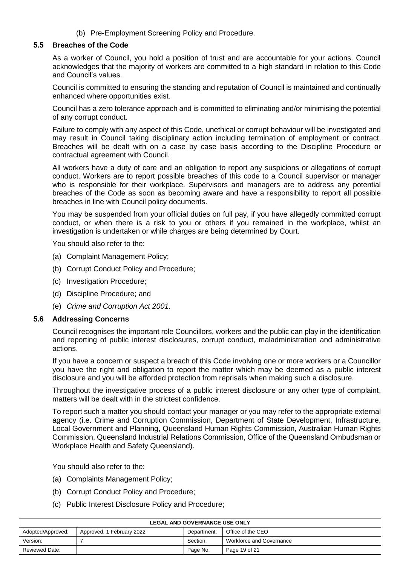(b) Pre-Employment Screening Policy and Procedure.

### **5.5 Breaches of the Code**

As a worker of Council, you hold a position of trust and are accountable for your actions. Council acknowledges that the majority of workers are committed to a high standard in relation to this Code and Council's values.

Council is committed to ensuring the standing and reputation of Council is maintained and continually enhanced where opportunities exist.

Council has a zero tolerance approach and is committed to eliminating and/or minimising the potential of any corrupt conduct.

Failure to comply with any aspect of this Code, unethical or corrupt behaviour will be investigated and may result in Council taking disciplinary action including termination of employment or contract. Breaches will be dealt with on a case by case basis according to the Discipline Procedure or contractual agreement with Council.

All workers have a duty of care and an obligation to report any suspicions or allegations of corrupt conduct. Workers are to report possible breaches of this code to a Council supervisor or manager who is responsible for their workplace. Supervisors and managers are to address any potential breaches of the Code as soon as becoming aware and have a responsibility to report all possible breaches in line with Council policy documents.

You may be suspended from your official duties on full pay, if you have allegedly committed corrupt conduct, or when there is a risk to you or others if you remained in the workplace, whilst an investigation is undertaken or while charges are being determined by Court.

You should also refer to the:

- (a) Complaint Management Policy;
- (b) Corrupt Conduct Policy and Procedure;
- (c) Investigation Procedure;
- (d) Discipline Procedure; and
- (e) *Crime and Corruption Act 2001*.

#### **5.6 Addressing Concerns**

Council recognises the important role Councillors, workers and the public can play in the identification and reporting of public interest disclosures, corrupt conduct, maladministration and administrative actions.

If you have a concern or suspect a breach of this Code involving one or more workers or a Councillor you have the right and obligation to report the matter which may be deemed as a public interest disclosure and you will be afforded protection from reprisals when making such a disclosure.

Throughout the investigative process of a public interest disclosure or any other type of complaint, matters will be dealt with in the strictest confidence.

To report such a matter you should contact your manager or you may refer to the appropriate external agency (i.e. Crime and Corruption Commission, Department of State Development, Infrastructure, Local Government and Planning, Queensland Human Rights Commission, Australian Human Rights Commission, Queensland Industrial Relations Commission, Office of the Queensland Ombudsman or Workplace Health and Safety Queensland).

- (a) Complaints Management Policy;
- (b) Corrupt Conduct Policy and Procedure;
- (c) Public Interest Disclosure Policy and Procedure;

| <b>LEGAL AND GOVERNANCE USE ONLY</b> |                           |             |                          |
|--------------------------------------|---------------------------|-------------|--------------------------|
| Adopted/Approved:                    | Approved, 1 February 2022 | Department: | Office of the CEO        |
| Version:                             |                           | Section:    | Workforce and Governance |
| <b>Reviewed Date:</b>                |                           | Page No:    | Page 19 of 21            |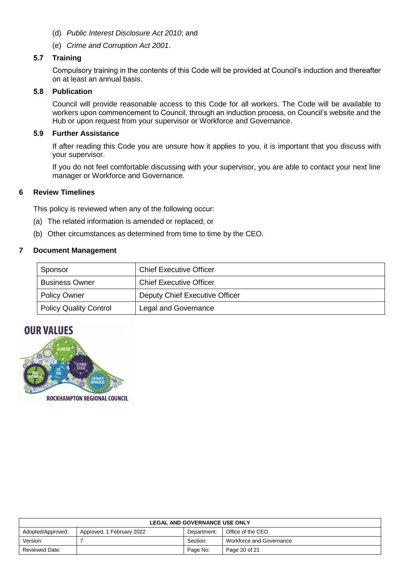- (d) *Public Interest Disclosure Act 2010*; and
- (e) *Crime and Corruption Act 2001*.

#### **5.7 Training**

Compulsory training in the contents of this Code will be provided at Council's induction and thereafter on at least an annual basis.

### **5.8 Publication**

Council will provide reasonable access to this Code for all workers. The Code will be available to workers upon commencement to Council, through an induction process, on Council's website and the Hub or upon request from your supervisor or Workforce and Governance.

### **5.9 Further Assistance**

If after reading this Code you are unsure how it applies to you, it is important that you discuss with your supervisor.

If you do not feel comfortable discussing with your supervisor, you are able to contact your next line manager or Workforce and Governance.

### **6 Review Timelines**

This policy is reviewed when any of the following occur:

- (a) The related information is amended or replaced; or
- (b) Other circumstances as determined from time to time by the CEO.

### **7 Document Management**

| Sponsor                       | <b>Chief Executive Officer</b> |
|-------------------------------|--------------------------------|
| <b>Business Owner</b>         | <b>Chief Executive Officer</b> |
| <b>Policy Owner</b>           | Deputy Chief Executive Officer |
| <b>Policy Quality Control</b> | Legal and Governance           |

# **OUR VALUES**



ROCKHAMPTON REGIONAL COUNCIL

| <b>LEGAL AND GOVERNANCE USE ONLY</b> |                           |             |                          |
|--------------------------------------|---------------------------|-------------|--------------------------|
| Adopted/Approved:                    | Approved, 1 February 2022 | Department: | Office of the CEO        |
| Version:                             |                           | Section:    | Workforce and Governance |
| <b>Reviewed Date:</b>                |                           | Page No:    | Page 20 of 21            |